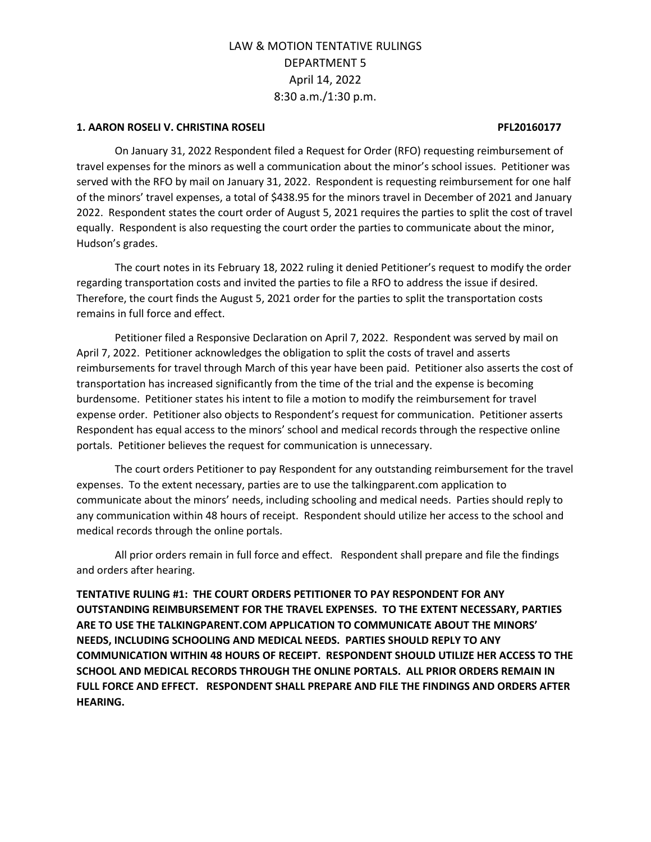### **1. AARON ROSELI V. CHRISTINA ROSELI PFL20160177**

On January 31, 2022 Respondent filed a Request for Order (RFO) requesting reimbursement of travel expenses for the minors as well a communication about the minor's school issues. Petitioner was served with the RFO by mail on January 31, 2022. Respondent is requesting reimbursement for one half of the minors' travel expenses, a total of \$438.95 for the minors travel in December of 2021 and January 2022. Respondent states the court order of August 5, 2021 requires the parties to split the cost of travel equally. Respondent is also requesting the court order the parties to communicate about the minor, Hudson's grades.

The court notes in its February 18, 2022 ruling it denied Petitioner's request to modify the order regarding transportation costs and invited the parties to file a RFO to address the issue if desired. Therefore, the court finds the August 5, 2021 order for the parties to split the transportation costs remains in full force and effect.

Petitioner filed a Responsive Declaration on April 7, 2022. Respondent was served by mail on April 7, 2022. Petitioner acknowledges the obligation to split the costs of travel and asserts reimbursements for travel through March of this year have been paid. Petitioner also asserts the cost of transportation has increased significantly from the time of the trial and the expense is becoming burdensome. Petitioner states his intent to file a motion to modify the reimbursement for travel expense order. Petitioner also objects to Respondent's request for communication. Petitioner asserts Respondent has equal access to the minors' school and medical records through the respective online portals. Petitioner believes the request for communication is unnecessary.

The court orders Petitioner to pay Respondent for any outstanding reimbursement for the travel expenses. To the extent necessary, parties are to use the talkingparent.com application to communicate about the minors' needs, including schooling and medical needs. Parties should reply to any communication within 48 hours of receipt. Respondent should utilize her access to the school and medical records through the online portals.

All prior orders remain in full force and effect. Respondent shall prepare and file the findings and orders after hearing.

**TENTATIVE RULING #1: THE COURT ORDERS PETITIONER TO PAY RESPONDENT FOR ANY OUTSTANDING REIMBURSEMENT FOR THE TRAVEL EXPENSES. TO THE EXTENT NECESSARY, PARTIES ARE TO USE THE TALKINGPARENT.COM APPLICATION TO COMMUNICATE ABOUT THE MINORS' NEEDS, INCLUDING SCHOOLING AND MEDICAL NEEDS. PARTIES SHOULD REPLY TO ANY COMMUNICATION WITHIN 48 HOURS OF RECEIPT. RESPONDENT SHOULD UTILIZE HER ACCESS TO THE SCHOOL AND MEDICAL RECORDS THROUGH THE ONLINE PORTALS. ALL PRIOR ORDERS REMAIN IN FULL FORCE AND EFFECT. RESPONDENT SHALL PREPARE AND FILE THE FINDINGS AND ORDERS AFTER HEARING.**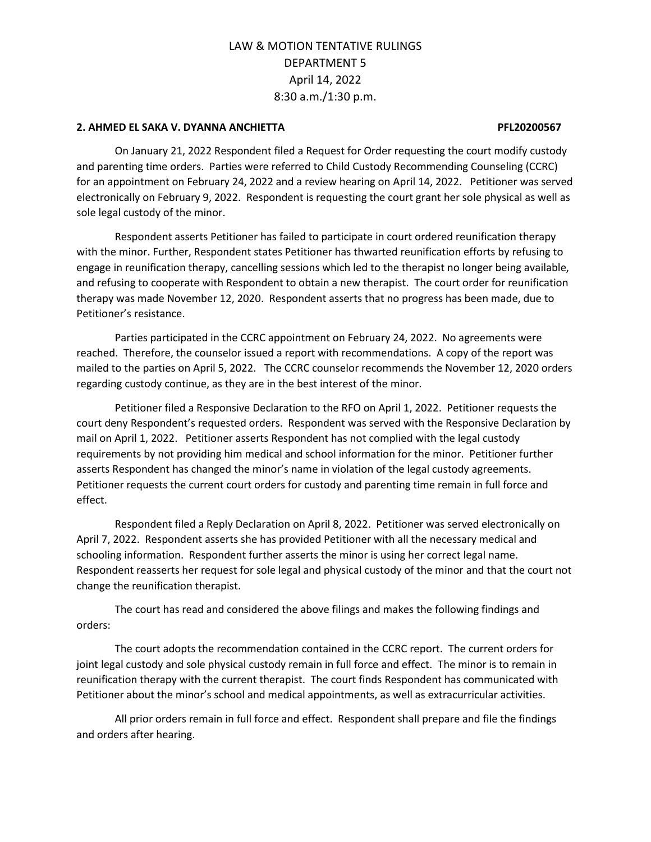## **2. AHMED EL SAKA V. DYANNA ANCHIETTA PFL20200567**

On January 21, 2022 Respondent filed a Request for Order requesting the court modify custody and parenting time orders. Parties were referred to Child Custody Recommending Counseling (CCRC) for an appointment on February 24, 2022 and a review hearing on April 14, 2022. Petitioner was served electronically on February 9, 2022. Respondent is requesting the court grant her sole physical as well as sole legal custody of the minor.

Respondent asserts Petitioner has failed to participate in court ordered reunification therapy with the minor. Further, Respondent states Petitioner has thwarted reunification efforts by refusing to engage in reunification therapy, cancelling sessions which led to the therapist no longer being available, and refusing to cooperate with Respondent to obtain a new therapist. The court order for reunification therapy was made November 12, 2020. Respondent asserts that no progress has been made, due to Petitioner's resistance.

Parties participated in the CCRC appointment on February 24, 2022. No agreements were reached. Therefore, the counselor issued a report with recommendations. A copy of the report was mailed to the parties on April 5, 2022. The CCRC counselor recommends the November 12, 2020 orders regarding custody continue, as they are in the best interest of the minor.

Petitioner filed a Responsive Declaration to the RFO on April 1, 2022. Petitioner requests the court deny Respondent's requested orders. Respondent was served with the Responsive Declaration by mail on April 1, 2022. Petitioner asserts Respondent has not complied with the legal custody requirements by not providing him medical and school information for the minor. Petitioner further asserts Respondent has changed the minor's name in violation of the legal custody agreements. Petitioner requests the current court orders for custody and parenting time remain in full force and effect.

Respondent filed a Reply Declaration on April 8, 2022. Petitioner was served electronically on April 7, 2022. Respondent asserts she has provided Petitioner with all the necessary medical and schooling information. Respondent further asserts the minor is using her correct legal name. Respondent reasserts her request for sole legal and physical custody of the minor and that the court not change the reunification therapist.

The court has read and considered the above filings and makes the following findings and orders:

The court adopts the recommendation contained in the CCRC report. The current orders for joint legal custody and sole physical custody remain in full force and effect. The minor is to remain in reunification therapy with the current therapist. The court finds Respondent has communicated with Petitioner about the minor's school and medical appointments, as well as extracurricular activities.

All prior orders remain in full force and effect. Respondent shall prepare and file the findings and orders after hearing.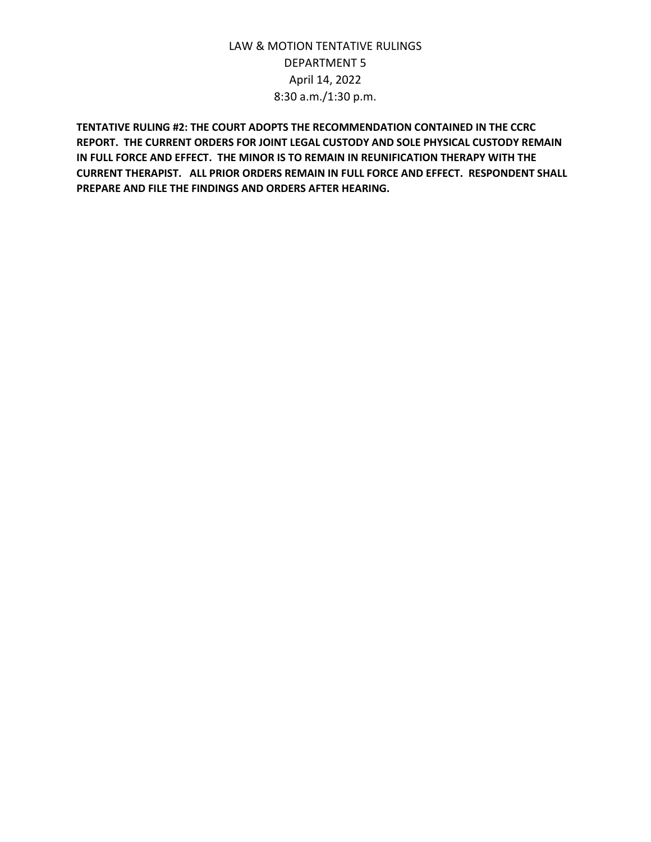**TENTATIVE RULING #2: THE COURT ADOPTS THE RECOMMENDATION CONTAINED IN THE CCRC REPORT. THE CURRENT ORDERS FOR JOINT LEGAL CUSTODY AND SOLE PHYSICAL CUSTODY REMAIN IN FULL FORCE AND EFFECT. THE MINOR IS TO REMAIN IN REUNIFICATION THERAPY WITH THE CURRENT THERAPIST. ALL PRIOR ORDERS REMAIN IN FULL FORCE AND EFFECT. RESPONDENT SHALL PREPARE AND FILE THE FINDINGS AND ORDERS AFTER HEARING.**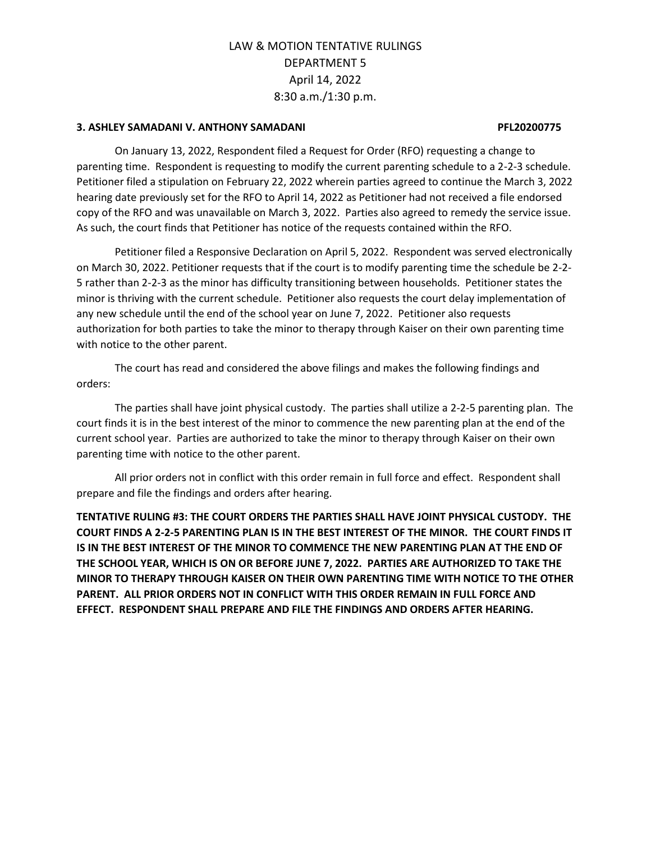## **3. ASHLEY SAMADANI V. ANTHONY SAMADANI PFL20200775**

On January 13, 2022, Respondent filed a Request for Order (RFO) requesting a change to parenting time. Respondent is requesting to modify the current parenting schedule to a 2-2-3 schedule. Petitioner filed a stipulation on February 22, 2022 wherein parties agreed to continue the March 3, 2022 hearing date previously set for the RFO to April 14, 2022 as Petitioner had not received a file endorsed copy of the RFO and was unavailable on March 3, 2022. Parties also agreed to remedy the service issue. As such, the court finds that Petitioner has notice of the requests contained within the RFO.

Petitioner filed a Responsive Declaration on April 5, 2022. Respondent was served electronically on March 30, 2022. Petitioner requests that if the court is to modify parenting time the schedule be 2-2- 5 rather than 2-2-3 as the minor has difficulty transitioning between households. Petitioner states the minor is thriving with the current schedule. Petitioner also requests the court delay implementation of any new schedule until the end of the school year on June 7, 2022. Petitioner also requests authorization for both parties to take the minor to therapy through Kaiser on their own parenting time with notice to the other parent.

The court has read and considered the above filings and makes the following findings and orders:

The parties shall have joint physical custody. The parties shall utilize a 2-2-5 parenting plan. The court finds it is in the best interest of the minor to commence the new parenting plan at the end of the current school year. Parties are authorized to take the minor to therapy through Kaiser on their own parenting time with notice to the other parent.

All prior orders not in conflict with this order remain in full force and effect. Respondent shall prepare and file the findings and orders after hearing.

**TENTATIVE RULING #3: THE COURT ORDERS THE PARTIES SHALL HAVE JOINT PHYSICAL CUSTODY. THE COURT FINDS A 2-2-5 PARENTING PLAN IS IN THE BEST INTEREST OF THE MINOR. THE COURT FINDS IT IS IN THE BEST INTEREST OF THE MINOR TO COMMENCE THE NEW PARENTING PLAN AT THE END OF THE SCHOOL YEAR, WHICH IS ON OR BEFORE JUNE 7, 2022. PARTIES ARE AUTHORIZED TO TAKE THE MINOR TO THERAPY THROUGH KAISER ON THEIR OWN PARENTING TIME WITH NOTICE TO THE OTHER PARENT. ALL PRIOR ORDERS NOT IN CONFLICT WITH THIS ORDER REMAIN IN FULL FORCE AND EFFECT. RESPONDENT SHALL PREPARE AND FILE THE FINDINGS AND ORDERS AFTER HEARING.**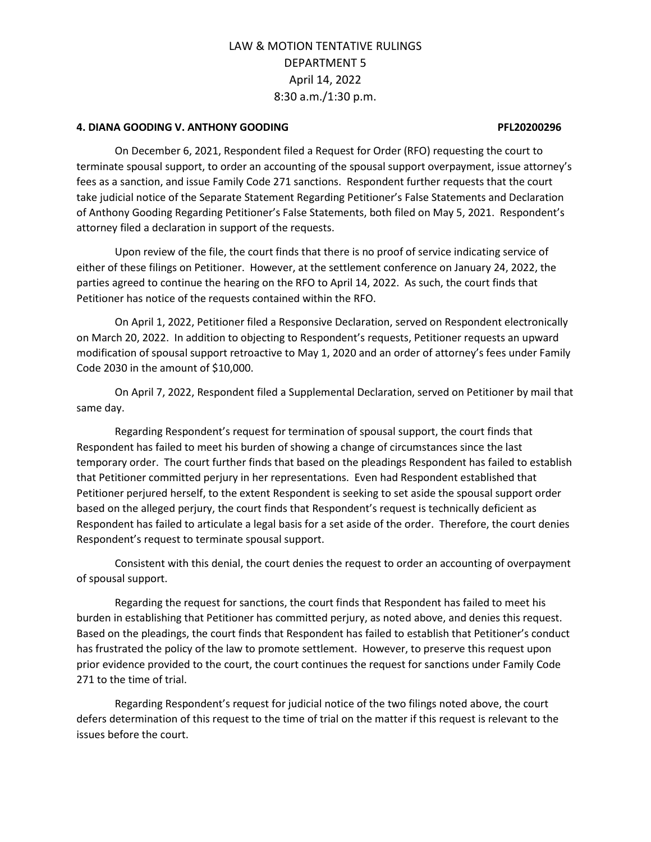## **4. DIANA GOODING V. ANTHONY GOODING PFL20200296**

On December 6, 2021, Respondent filed a Request for Order (RFO) requesting the court to terminate spousal support, to order an accounting of the spousal support overpayment, issue attorney's fees as a sanction, and issue Family Code 271 sanctions. Respondent further requests that the court take judicial notice of the Separate Statement Regarding Petitioner's False Statements and Declaration of Anthony Gooding Regarding Petitioner's False Statements, both filed on May 5, 2021. Respondent's attorney filed a declaration in support of the requests.

Upon review of the file, the court finds that there is no proof of service indicating service of either of these filings on Petitioner. However, at the settlement conference on January 24, 2022, the parties agreed to continue the hearing on the RFO to April 14, 2022. As such, the court finds that Petitioner has notice of the requests contained within the RFO.

On April 1, 2022, Petitioner filed a Responsive Declaration, served on Respondent electronically on March 20, 2022. In addition to objecting to Respondent's requests, Petitioner requests an upward modification of spousal support retroactive to May 1, 2020 and an order of attorney's fees under Family Code 2030 in the amount of \$10,000.

On April 7, 2022, Respondent filed a Supplemental Declaration, served on Petitioner by mail that same day.

Regarding Respondent's request for termination of spousal support, the court finds that Respondent has failed to meet his burden of showing a change of circumstances since the last temporary order. The court further finds that based on the pleadings Respondent has failed to establish that Petitioner committed perjury in her representations. Even had Respondent established that Petitioner perjured herself, to the extent Respondent is seeking to set aside the spousal support order based on the alleged perjury, the court finds that Respondent's request is technically deficient as Respondent has failed to articulate a legal basis for a set aside of the order. Therefore, the court denies Respondent's request to terminate spousal support.

Consistent with this denial, the court denies the request to order an accounting of overpayment of spousal support.

Regarding the request for sanctions, the court finds that Respondent has failed to meet his burden in establishing that Petitioner has committed perjury, as noted above, and denies this request. Based on the pleadings, the court finds that Respondent has failed to establish that Petitioner's conduct has frustrated the policy of the law to promote settlement. However, to preserve this request upon prior evidence provided to the court, the court continues the request for sanctions under Family Code 271 to the time of trial.

Regarding Respondent's request for judicial notice of the two filings noted above, the court defers determination of this request to the time of trial on the matter if this request is relevant to the issues before the court.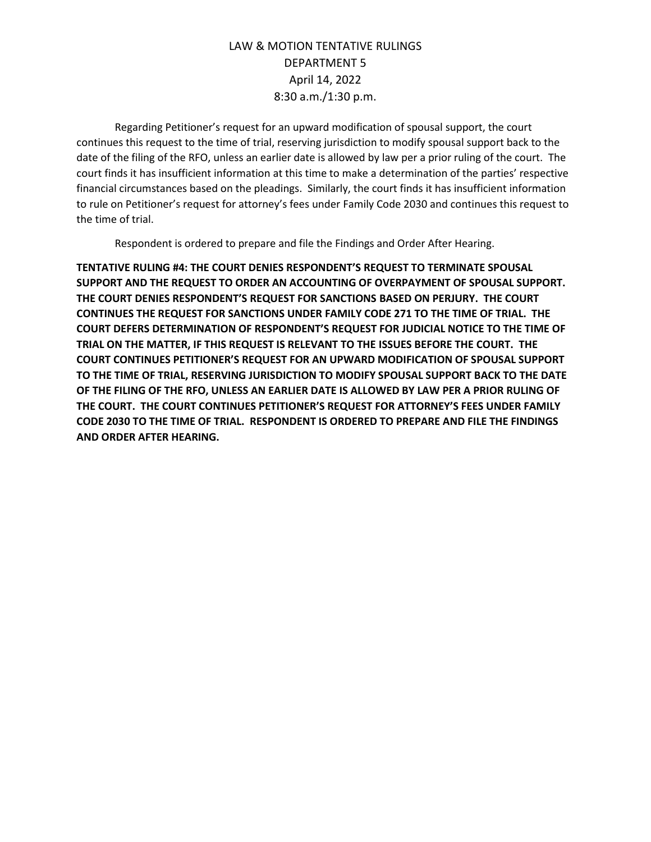Regarding Petitioner's request for an upward modification of spousal support, the court continues this request to the time of trial, reserving jurisdiction to modify spousal support back to the date of the filing of the RFO, unless an earlier date is allowed by law per a prior ruling of the court. The court finds it has insufficient information at this time to make a determination of the parties' respective financial circumstances based on the pleadings. Similarly, the court finds it has insufficient information to rule on Petitioner's request for attorney's fees under Family Code 2030 and continues this request to the time of trial.

Respondent is ordered to prepare and file the Findings and Order After Hearing.

**TENTATIVE RULING #4: THE COURT DENIES RESPONDENT'S REQUEST TO TERMINATE SPOUSAL SUPPORT AND THE REQUEST TO ORDER AN ACCOUNTING OF OVERPAYMENT OF SPOUSAL SUPPORT. THE COURT DENIES RESPONDENT'S REQUEST FOR SANCTIONS BASED ON PERJURY. THE COURT CONTINUES THE REQUEST FOR SANCTIONS UNDER FAMILY CODE 271 TO THE TIME OF TRIAL. THE COURT DEFERS DETERMINATION OF RESPONDENT'S REQUEST FOR JUDICIAL NOTICE TO THE TIME OF TRIAL ON THE MATTER, IF THIS REQUEST IS RELEVANT TO THE ISSUES BEFORE THE COURT. THE COURT CONTINUES PETITIONER'S REQUEST FOR AN UPWARD MODIFICATION OF SPOUSAL SUPPORT TO THE TIME OF TRIAL, RESERVING JURISDICTION TO MODIFY SPOUSAL SUPPORT BACK TO THE DATE OF THE FILING OF THE RFO, UNLESS AN EARLIER DATE IS ALLOWED BY LAW PER A PRIOR RULING OF THE COURT. THE COURT CONTINUES PETITIONER'S REQUEST FOR ATTORNEY'S FEES UNDER FAMILY CODE 2030 TO THE TIME OF TRIAL. RESPONDENT IS ORDERED TO PREPARE AND FILE THE FINDINGS AND ORDER AFTER HEARING.**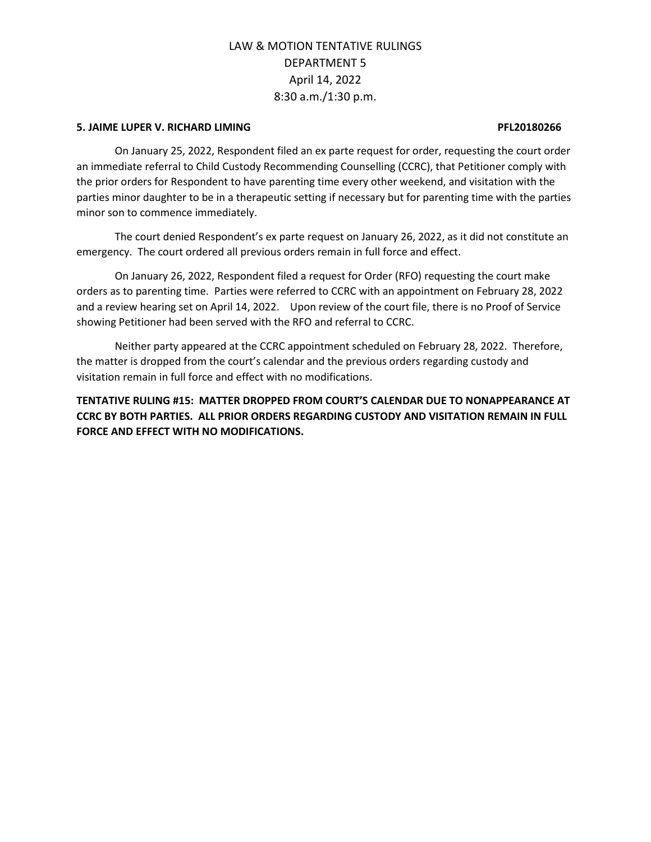### **5. JAIME LUPER V. RICHARD LIMING PFL20180266**

On January 25, 2022, Respondent filed an ex parte request for order, requesting the court order an immediate referral to Child Custody Recommending Counselling (CCRC), that Petitioner comply with the prior orders for Respondent to have parenting time every other weekend, and visitation with the parties minor daughter to be in a therapeutic setting if necessary but for parenting time with the parties minor son to commence immediately.

The court denied Respondent's ex parte request on January 26, 2022, as it did not constitute an emergency. The court ordered all previous orders remain in full force and effect.

On January 26, 2022, Respondent filed a request for Order (RFO) requesting the court make orders as to parenting time. Parties were referred to CCRC with an appointment on February 28, 2022 and a review hearing set on April 14, 2022. Upon review of the court file, there is no Proof of Service showing Petitioner had been served with the RFO and referral to CCRC.

Neither party appeared at the CCRC appointment scheduled on February 28, 2022. Therefore, the matter is dropped from the court's calendar and the previous orders regarding custody and visitation remain in full force and effect with no modifications.

**TENTATIVE RULING #15: MATTER DROPPED FROM COURT'S CALENDAR DUE TO NONAPPEARANCE AT CCRC BY BOTH PARTIES. ALL PRIOR ORDERS REGARDING CUSTODY AND VISITATION REMAIN IN FULL FORCE AND EFFECT WITH NO MODIFICATIONS.**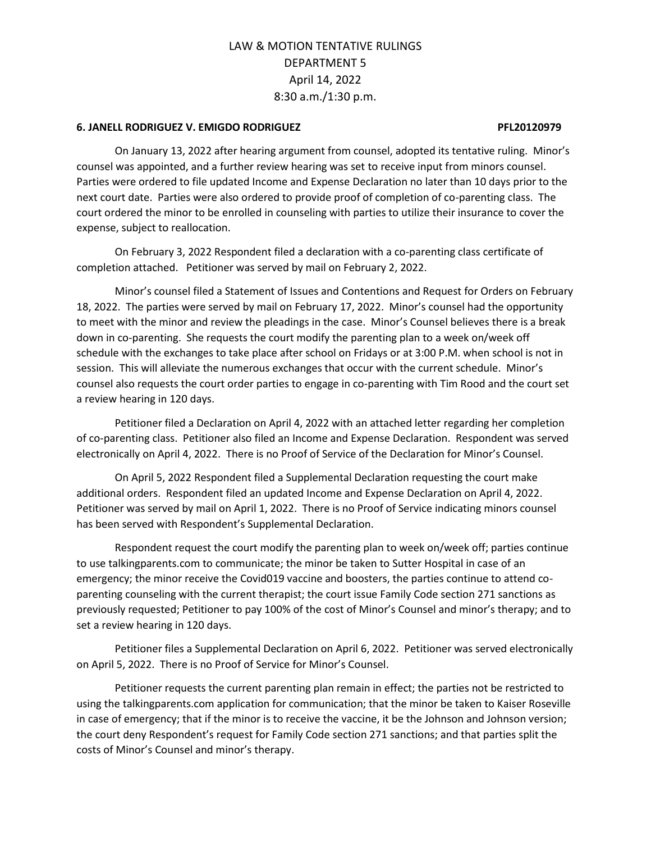## **6. JANELL RODRIGUEZ V. EMIGDO RODRIGUEZ PFL20120979**

On January 13, 2022 after hearing argument from counsel, adopted its tentative ruling. Minor's counsel was appointed, and a further review hearing was set to receive input from minors counsel. Parties were ordered to file updated Income and Expense Declaration no later than 10 days prior to the next court date. Parties were also ordered to provide proof of completion of co-parenting class. The court ordered the minor to be enrolled in counseling with parties to utilize their insurance to cover the expense, subject to reallocation.

On February 3, 2022 Respondent filed a declaration with a co-parenting class certificate of completion attached. Petitioner was served by mail on February 2, 2022.

Minor's counsel filed a Statement of Issues and Contentions and Request for Orders on February 18, 2022. The parties were served by mail on February 17, 2022. Minor's counsel had the opportunity to meet with the minor and review the pleadings in the case. Minor's Counsel believes there is a break down in co-parenting. She requests the court modify the parenting plan to a week on/week off schedule with the exchanges to take place after school on Fridays or at 3:00 P.M. when school is not in session. This will alleviate the numerous exchanges that occur with the current schedule. Minor's counsel also requests the court order parties to engage in co-parenting with Tim Rood and the court set a review hearing in 120 days.

Petitioner filed a Declaration on April 4, 2022 with an attached letter regarding her completion of co-parenting class. Petitioner also filed an Income and Expense Declaration. Respondent was served electronically on April 4, 2022. There is no Proof of Service of the Declaration for Minor's Counsel.

On April 5, 2022 Respondent filed a Supplemental Declaration requesting the court make additional orders. Respondent filed an updated Income and Expense Declaration on April 4, 2022. Petitioner was served by mail on April 1, 2022. There is no Proof of Service indicating minors counsel has been served with Respondent's Supplemental Declaration.

Respondent request the court modify the parenting plan to week on/week off; parties continue to use talkingparents.com to communicate; the minor be taken to Sutter Hospital in case of an emergency; the minor receive the Covid019 vaccine and boosters, the parties continue to attend coparenting counseling with the current therapist; the court issue Family Code section 271 sanctions as previously requested; Petitioner to pay 100% of the cost of Minor's Counsel and minor's therapy; and to set a review hearing in 120 days.

Petitioner files a Supplemental Declaration on April 6, 2022. Petitioner was served electronically on April 5, 2022. There is no Proof of Service for Minor's Counsel.

Petitioner requests the current parenting plan remain in effect; the parties not be restricted to using the talkingparents.com application for communication; that the minor be taken to Kaiser Roseville in case of emergency; that if the minor is to receive the vaccine, it be the Johnson and Johnson version; the court deny Respondent's request for Family Code section 271 sanctions; and that parties split the costs of Minor's Counsel and minor's therapy.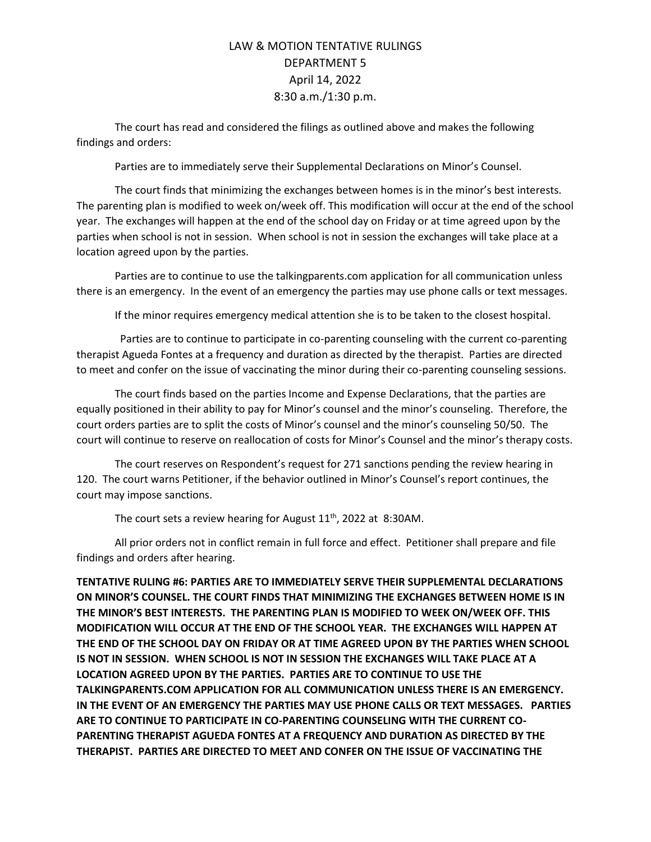The court has read and considered the filings as outlined above and makes the following findings and orders:

Parties are to immediately serve their Supplemental Declarations on Minor's Counsel.

The court finds that minimizing the exchanges between homes is in the minor's best interests. The parenting plan is modified to week on/week off. This modification will occur at the end of the school year. The exchanges will happen at the end of the school day on Friday or at time agreed upon by the parties when school is not in session. When school is not in session the exchanges will take place at a location agreed upon by the parties.

Parties are to continue to use the talkingparents.com application for all communication unless there is an emergency. In the event of an emergency the parties may use phone calls or text messages.

If the minor requires emergency medical attention she is to be taken to the closest hospital.

 Parties are to continue to participate in co-parenting counseling with the current co-parenting therapist Agueda Fontes at a frequency and duration as directed by the therapist. Parties are directed to meet and confer on the issue of vaccinating the minor during their co-parenting counseling sessions.

The court finds based on the parties Income and Expense Declarations, that the parties are equally positioned in their ability to pay for Minor's counsel and the minor's counseling. Therefore, the court orders parties are to split the costs of Minor's counsel and the minor's counseling 50/50. The court will continue to reserve on reallocation of costs for Minor's Counsel and the minor's therapy costs.

The court reserves on Respondent's request for 271 sanctions pending the review hearing in 120. The court warns Petitioner, if the behavior outlined in Minor's Counsel's report continues, the court may impose sanctions.

The court sets a review hearing for August  $11<sup>th</sup>$ , 2022 at 8:30AM.

All prior orders not in conflict remain in full force and effect. Petitioner shall prepare and file findings and orders after hearing.

**TENTATIVE RULING #6: PARTIES ARE TO IMMEDIATELY SERVE THEIR SUPPLEMENTAL DECLARATIONS ON MINOR'S COUNSEL. THE COURT FINDS THAT MINIMIZING THE EXCHANGES BETWEEN HOME IS IN THE MINOR'S BEST INTERESTS. THE PARENTING PLAN IS MODIFIED TO WEEK ON/WEEK OFF. THIS MODIFICATION WILL OCCUR AT THE END OF THE SCHOOL YEAR. THE EXCHANGES WILL HAPPEN AT THE END OF THE SCHOOL DAY ON FRIDAY OR AT TIME AGREED UPON BY THE PARTIES WHEN SCHOOL IS NOT IN SESSION. WHEN SCHOOL IS NOT IN SESSION THE EXCHANGES WILL TAKE PLACE AT A LOCATION AGREED UPON BY THE PARTIES. PARTIES ARE TO CONTINUE TO USE THE TALKINGPARENTS.COM APPLICATION FOR ALL COMMUNICATION UNLESS THERE IS AN EMERGENCY. IN THE EVENT OF AN EMERGENCY THE PARTIES MAY USE PHONE CALLS OR TEXT MESSAGES. PARTIES ARE TO CONTINUE TO PARTICIPATE IN CO-PARENTING COUNSELING WITH THE CURRENT CO-PARENTING THERAPIST AGUEDA FONTES AT A FREQUENCY AND DURATION AS DIRECTED BY THE THERAPIST. PARTIES ARE DIRECTED TO MEET AND CONFER ON THE ISSUE OF VACCINATING THE**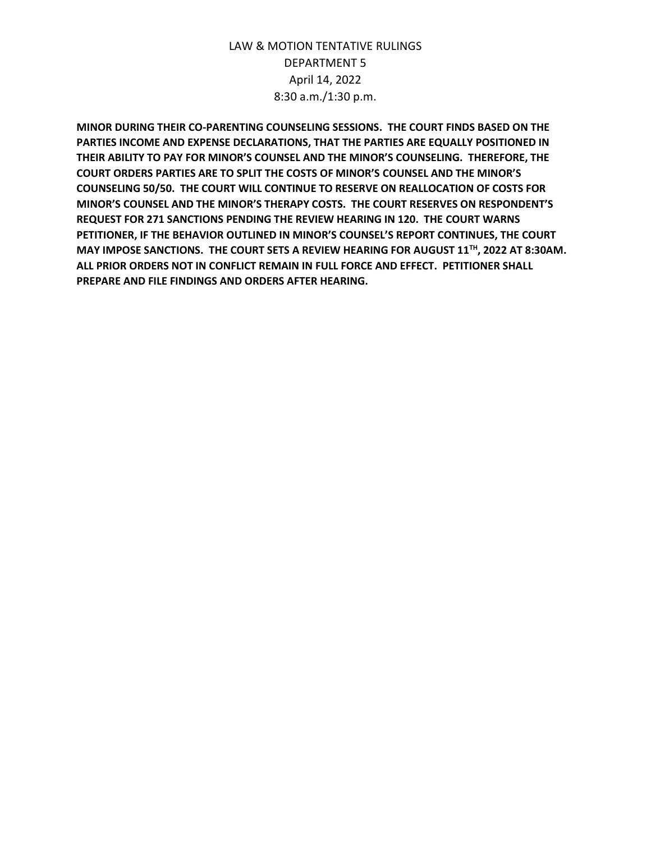**MINOR DURING THEIR CO-PARENTING COUNSELING SESSIONS. THE COURT FINDS BASED ON THE PARTIES INCOME AND EXPENSE DECLARATIONS, THAT THE PARTIES ARE EQUALLY POSITIONED IN THEIR ABILITY TO PAY FOR MINOR'S COUNSEL AND THE MINOR'S COUNSELING. THEREFORE, THE COURT ORDERS PARTIES ARE TO SPLIT THE COSTS OF MINOR'S COUNSEL AND THE MINOR'S COUNSELING 50/50. THE COURT WILL CONTINUE TO RESERVE ON REALLOCATION OF COSTS FOR MINOR'S COUNSEL AND THE MINOR'S THERAPY COSTS. THE COURT RESERVES ON RESPONDENT'S REQUEST FOR 271 SANCTIONS PENDING THE REVIEW HEARING IN 120. THE COURT WARNS PETITIONER, IF THE BEHAVIOR OUTLINED IN MINOR'S COUNSEL'S REPORT CONTINUES, THE COURT MAY IMPOSE SANCTIONS. THE COURT SETS A REVIEW HEARING FOR AUGUST 11TH, 2022 AT 8:30AM. ALL PRIOR ORDERS NOT IN CONFLICT REMAIN IN FULL FORCE AND EFFECT. PETITIONER SHALL PREPARE AND FILE FINDINGS AND ORDERS AFTER HEARING.**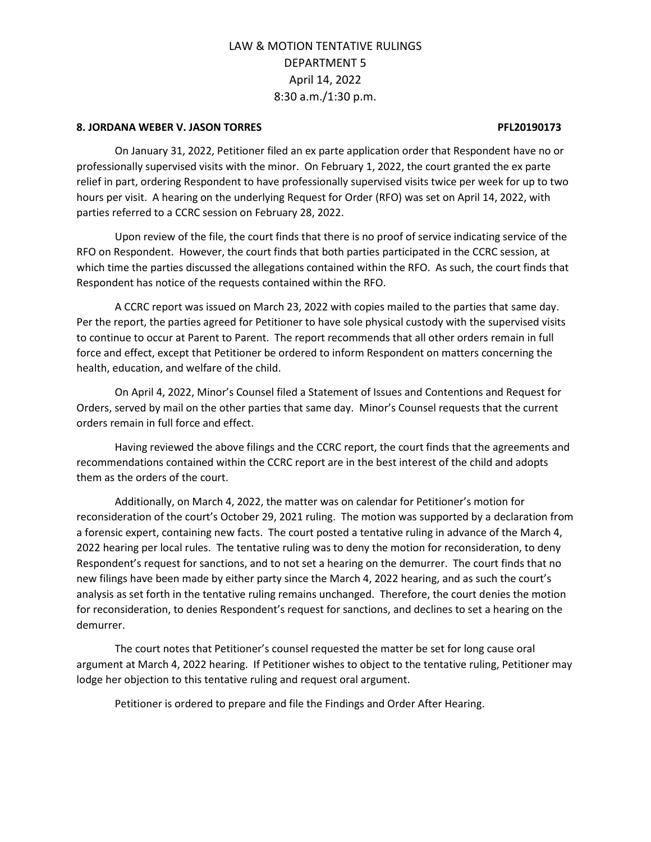### **8. JORDANA WEBER V. JASON TORRES PFL20190173**

On January 31, 2022, Petitioner filed an ex parte application order that Respondent have no or professionally supervised visits with the minor. On February 1, 2022, the court granted the ex parte relief in part, ordering Respondent to have professionally supervised visits twice per week for up to two hours per visit. A hearing on the underlying Request for Order (RFO) was set on April 14, 2022, with parties referred to a CCRC session on February 28, 2022.

Upon review of the file, the court finds that there is no proof of service indicating service of the RFO on Respondent. However, the court finds that both parties participated in the CCRC session, at which time the parties discussed the allegations contained within the RFO. As such, the court finds that Respondent has notice of the requests contained within the RFO.

A CCRC report was issued on March 23, 2022 with copies mailed to the parties that same day. Per the report, the parties agreed for Petitioner to have sole physical custody with the supervised visits to continue to occur at Parent to Parent. The report recommends that all other orders remain in full force and effect, except that Petitioner be ordered to inform Respondent on matters concerning the health, education, and welfare of the child.

On April 4, 2022, Minor's Counsel filed a Statement of Issues and Contentions and Request for Orders, served by mail on the other parties that same day. Minor's Counsel requests that the current orders remain in full force and effect.

Having reviewed the above filings and the CCRC report, the court finds that the agreements and recommendations contained within the CCRC report are in the best interest of the child and adopts them as the orders of the court.

Additionally, on March 4, 2022, the matter was on calendar for Petitioner's motion for reconsideration of the court's October 29, 2021 ruling. The motion was supported by a declaration from a forensic expert, containing new facts. The court posted a tentative ruling in advance of the March 4, 2022 hearing per local rules. The tentative ruling was to deny the motion for reconsideration, to deny Respondent's request for sanctions, and to not set a hearing on the demurrer. The court finds that no new filings have been made by either party since the March 4, 2022 hearing, and as such the court's analysis as set forth in the tentative ruling remains unchanged. Therefore, the court denies the motion for reconsideration, to denies Respondent's request for sanctions, and declines to set a hearing on the demurrer.

The court notes that Petitioner's counsel requested the matter be set for long cause oral argument at March 4, 2022 hearing. If Petitioner wishes to object to the tentative ruling, Petitioner may lodge her objection to this tentative ruling and request oral argument.

Petitioner is ordered to prepare and file the Findings and Order After Hearing.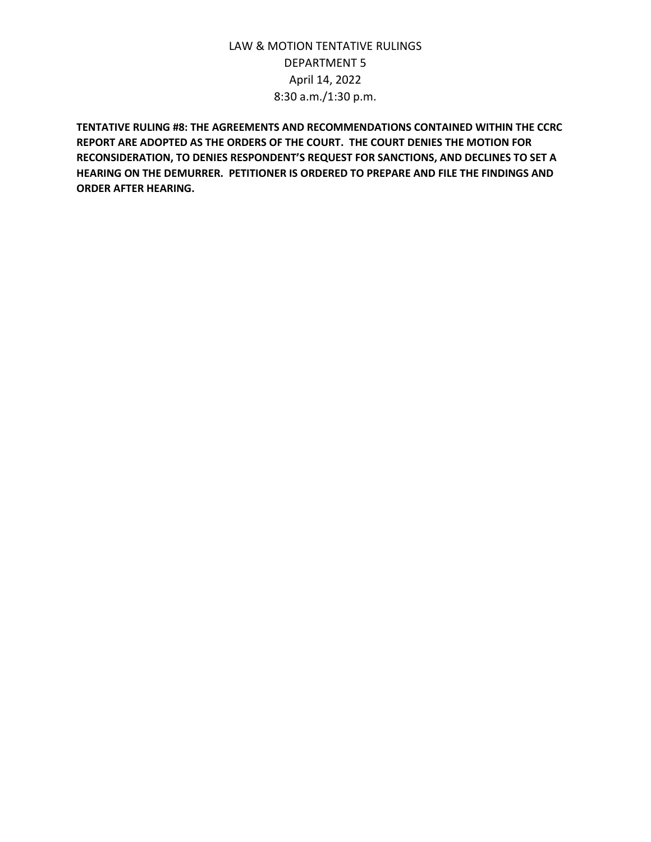**TENTATIVE RULING #8: THE AGREEMENTS AND RECOMMENDATIONS CONTAINED WITHIN THE CCRC REPORT ARE ADOPTED AS THE ORDERS OF THE COURT. THE COURT DENIES THE MOTION FOR RECONSIDERATION, TO DENIES RESPONDENT'S REQUEST FOR SANCTIONS, AND DECLINES TO SET A HEARING ON THE DEMURRER. PETITIONER IS ORDERED TO PREPARE AND FILE THE FINDINGS AND ORDER AFTER HEARING.**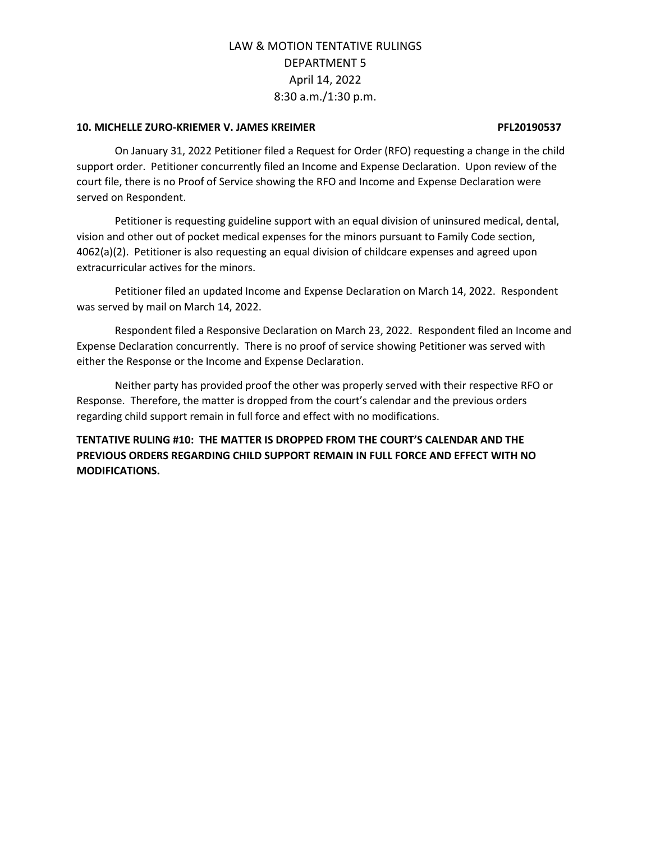## **10. MICHELLE ZURO-KRIEMER V. JAMES KREIMER PFL20190537**

On January 31, 2022 Petitioner filed a Request for Order (RFO) requesting a change in the child support order. Petitioner concurrently filed an Income and Expense Declaration. Upon review of the court file, there is no Proof of Service showing the RFO and Income and Expense Declaration were served on Respondent.

Petitioner is requesting guideline support with an equal division of uninsured medical, dental, vision and other out of pocket medical expenses for the minors pursuant to Family Code section, 4062(a)(2). Petitioner is also requesting an equal division of childcare expenses and agreed upon extracurricular actives for the minors.

Petitioner filed an updated Income and Expense Declaration on March 14, 2022. Respondent was served by mail on March 14, 2022.

Respondent filed a Responsive Declaration on March 23, 2022. Respondent filed an Income and Expense Declaration concurrently. There is no proof of service showing Petitioner was served with either the Response or the Income and Expense Declaration.

Neither party has provided proof the other was properly served with their respective RFO or Response. Therefore, the matter is dropped from the court's calendar and the previous orders regarding child support remain in full force and effect with no modifications.

**TENTATIVE RULING #10: THE MATTER IS DROPPED FROM THE COURT'S CALENDAR AND THE PREVIOUS ORDERS REGARDING CHILD SUPPORT REMAIN IN FULL FORCE AND EFFECT WITH NO MODIFICATIONS.**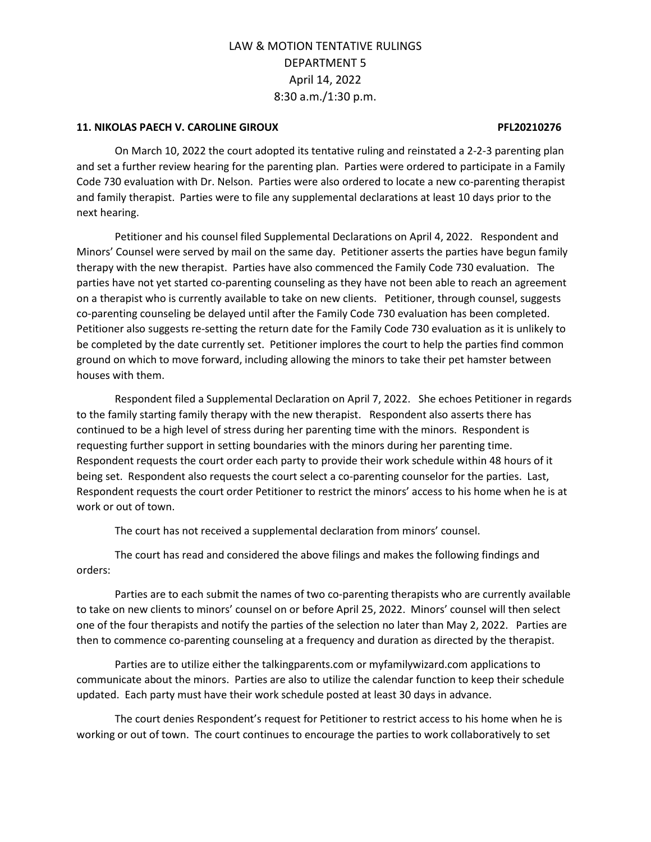## **11. NIKOLAS PAECH V. CAROLINE GIROUX PFL20210276**

On March 10, 2022 the court adopted its tentative ruling and reinstated a 2-2-3 parenting plan and set a further review hearing for the parenting plan. Parties were ordered to participate in a Family Code 730 evaluation with Dr. Nelson. Parties were also ordered to locate a new co-parenting therapist and family therapist. Parties were to file any supplemental declarations at least 10 days prior to the next hearing.

Petitioner and his counsel filed Supplemental Declarations on April 4, 2022. Respondent and Minors' Counsel were served by mail on the same day. Petitioner asserts the parties have begun family therapy with the new therapist. Parties have also commenced the Family Code 730 evaluation. The parties have not yet started co-parenting counseling as they have not been able to reach an agreement on a therapist who is currently available to take on new clients. Petitioner, through counsel, suggests co-parenting counseling be delayed until after the Family Code 730 evaluation has been completed. Petitioner also suggests re-setting the return date for the Family Code 730 evaluation as it is unlikely to be completed by the date currently set. Petitioner implores the court to help the parties find common ground on which to move forward, including allowing the minors to take their pet hamster between houses with them.

Respondent filed a Supplemental Declaration on April 7, 2022. She echoes Petitioner in regards to the family starting family therapy with the new therapist. Respondent also asserts there has continued to be a high level of stress during her parenting time with the minors. Respondent is requesting further support in setting boundaries with the minors during her parenting time. Respondent requests the court order each party to provide their work schedule within 48 hours of it being set. Respondent also requests the court select a co-parenting counselor for the parties. Last, Respondent requests the court order Petitioner to restrict the minors' access to his home when he is at work or out of town.

The court has not received a supplemental declaration from minors' counsel.

The court has read and considered the above filings and makes the following findings and orders:

Parties are to each submit the names of two co-parenting therapists who are currently available to take on new clients to minors' counsel on or before April 25, 2022. Minors' counsel will then select one of the four therapists and notify the parties of the selection no later than May 2, 2022. Parties are then to commence co-parenting counseling at a frequency and duration as directed by the therapist.

Parties are to utilize either the talkingparents.com or myfamilywizard.com applications to communicate about the minors. Parties are also to utilize the calendar function to keep their schedule updated. Each party must have their work schedule posted at least 30 days in advance.

The court denies Respondent's request for Petitioner to restrict access to his home when he is working or out of town. The court continues to encourage the parties to work collaboratively to set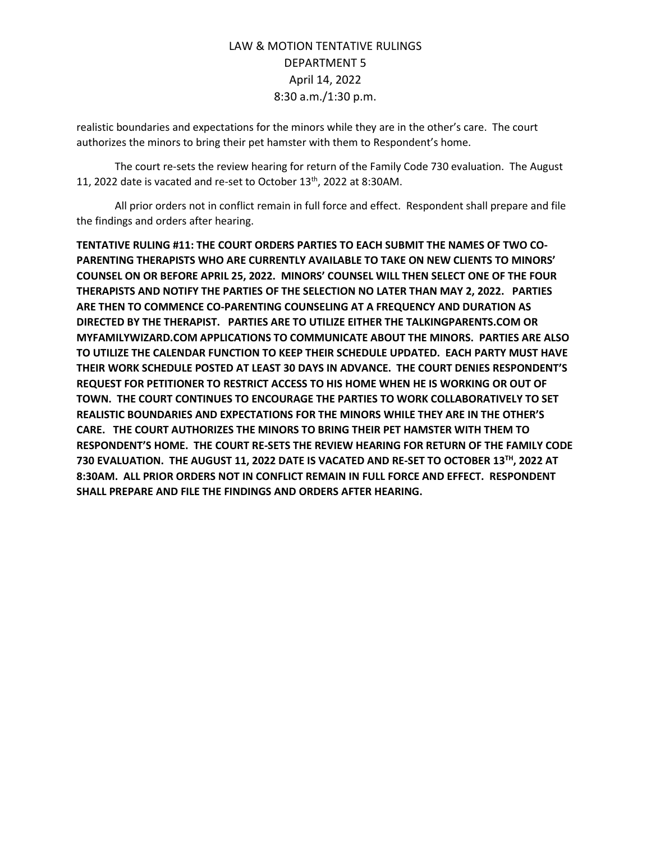realistic boundaries and expectations for the minors while they are in the other's care. The court authorizes the minors to bring their pet hamster with them to Respondent's home.

The court re-sets the review hearing for return of the Family Code 730 evaluation. The August 11, 2022 date is vacated and re-set to October  $13<sup>th</sup>$ , 2022 at 8:30AM.

All prior orders not in conflict remain in full force and effect. Respondent shall prepare and file the findings and orders after hearing.

**TENTATIVE RULING #11: THE COURT ORDERS PARTIES TO EACH SUBMIT THE NAMES OF TWO CO-PARENTING THERAPISTS WHO ARE CURRENTLY AVAILABLE TO TAKE ON NEW CLIENTS TO MINORS' COUNSEL ON OR BEFORE APRIL 25, 2022. MINORS' COUNSEL WILL THEN SELECT ONE OF THE FOUR THERAPISTS AND NOTIFY THE PARTIES OF THE SELECTION NO LATER THAN MAY 2, 2022. PARTIES ARE THEN TO COMMENCE CO-PARENTING COUNSELING AT A FREQUENCY AND DURATION AS DIRECTED BY THE THERAPIST. PARTIES ARE TO UTILIZE EITHER THE TALKINGPARENTS.COM OR MYFAMILYWIZARD.COM APPLICATIONS TO COMMUNICATE ABOUT THE MINORS. PARTIES ARE ALSO TO UTILIZE THE CALENDAR FUNCTION TO KEEP THEIR SCHEDULE UPDATED. EACH PARTY MUST HAVE THEIR WORK SCHEDULE POSTED AT LEAST 30 DAYS IN ADVANCE. THE COURT DENIES RESPONDENT'S REQUEST FOR PETITIONER TO RESTRICT ACCESS TO HIS HOME WHEN HE IS WORKING OR OUT OF TOWN. THE COURT CONTINUES TO ENCOURAGE THE PARTIES TO WORK COLLABORATIVELY TO SET REALISTIC BOUNDARIES AND EXPECTATIONS FOR THE MINORS WHILE THEY ARE IN THE OTHER'S CARE. THE COURT AUTHORIZES THE MINORS TO BRING THEIR PET HAMSTER WITH THEM TO RESPONDENT'S HOME. THE COURT RE-SETS THE REVIEW HEARING FOR RETURN OF THE FAMILY CODE 730 EVALUATION. THE AUGUST 11, 2022 DATE IS VACATED AND RE-SET TO OCTOBER 13TH , 2022 AT 8:30AM. ALL PRIOR ORDERS NOT IN CONFLICT REMAIN IN FULL FORCE AND EFFECT. RESPONDENT SHALL PREPARE AND FILE THE FINDINGS AND ORDERS AFTER HEARING.**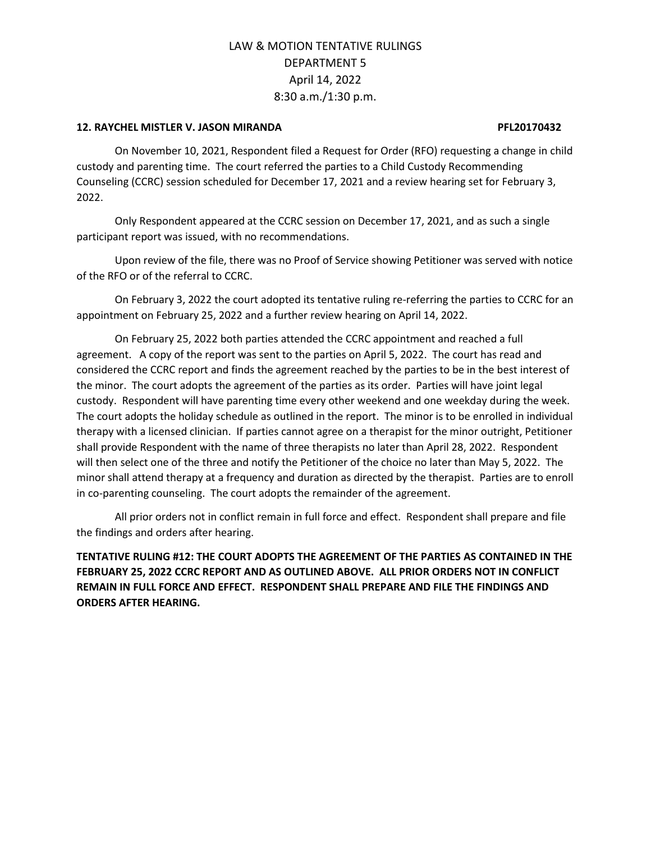### **12. RAYCHEL MISTLER V. JASON MIRANDA PFL20170432**

On November 10, 2021, Respondent filed a Request for Order (RFO) requesting a change in child custody and parenting time. The court referred the parties to a Child Custody Recommending Counseling (CCRC) session scheduled for December 17, 2021 and a review hearing set for February 3, 2022.

Only Respondent appeared at the CCRC session on December 17, 2021, and as such a single participant report was issued, with no recommendations.

Upon review of the file, there was no Proof of Service showing Petitioner was served with notice of the RFO or of the referral to CCRC.

On February 3, 2022 the court adopted its tentative ruling re-referring the parties to CCRC for an appointment on February 25, 2022 and a further review hearing on April 14, 2022.

On February 25, 2022 both parties attended the CCRC appointment and reached a full agreement. A copy of the report was sent to the parties on April 5, 2022. The court has read and considered the CCRC report and finds the agreement reached by the parties to be in the best interest of the minor. The court adopts the agreement of the parties as its order. Parties will have joint legal custody. Respondent will have parenting time every other weekend and one weekday during the week. The court adopts the holiday schedule as outlined in the report. The minor is to be enrolled in individual therapy with a licensed clinician. If parties cannot agree on a therapist for the minor outright, Petitioner shall provide Respondent with the name of three therapists no later than April 28, 2022. Respondent will then select one of the three and notify the Petitioner of the choice no later than May 5, 2022. The minor shall attend therapy at a frequency and duration as directed by the therapist. Parties are to enroll in co-parenting counseling. The court adopts the remainder of the agreement.

All prior orders not in conflict remain in full force and effect. Respondent shall prepare and file the findings and orders after hearing.

**TENTATIVE RULING #12: THE COURT ADOPTS THE AGREEMENT OF THE PARTIES AS CONTAINED IN THE FEBRUARY 25, 2022 CCRC REPORT AND AS OUTLINED ABOVE. ALL PRIOR ORDERS NOT IN CONFLICT REMAIN IN FULL FORCE AND EFFECT. RESPONDENT SHALL PREPARE AND FILE THE FINDINGS AND ORDERS AFTER HEARING.**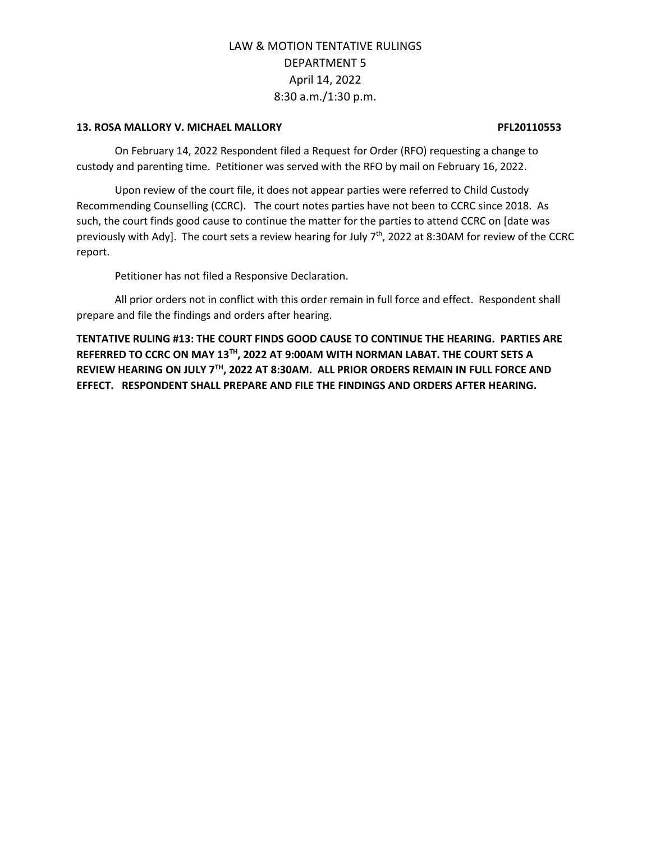### **13. ROSA MALLORY V. MICHAEL MALLORY PFL20110553**

On February 14, 2022 Respondent filed a Request for Order (RFO) requesting a change to custody and parenting time. Petitioner was served with the RFO by mail on February 16, 2022.

Upon review of the court file, it does not appear parties were referred to Child Custody Recommending Counselling (CCRC). The court notes parties have not been to CCRC since 2018. As such, the court finds good cause to continue the matter for the parties to attend CCRC on [date was previously with Ady]. The court sets a review hearing for July 7<sup>th</sup>, 2022 at 8:30AM for review of the CCRC report.

Petitioner has not filed a Responsive Declaration.

All prior orders not in conflict with this order remain in full force and effect. Respondent shall prepare and file the findings and orders after hearing.

**TENTATIVE RULING #13: THE COURT FINDS GOOD CAUSE TO CONTINUE THE HEARING. PARTIES ARE REFERRED TO CCRC ON MAY 13TH , 2022 AT 9:00AM WITH NORMAN LABAT. THE COURT SETS A REVIEW HEARING ON JULY 7 TH , 2022 AT 8:30AM. ALL PRIOR ORDERS REMAIN IN FULL FORCE AND EFFECT. RESPONDENT SHALL PREPARE AND FILE THE FINDINGS AND ORDERS AFTER HEARING.**